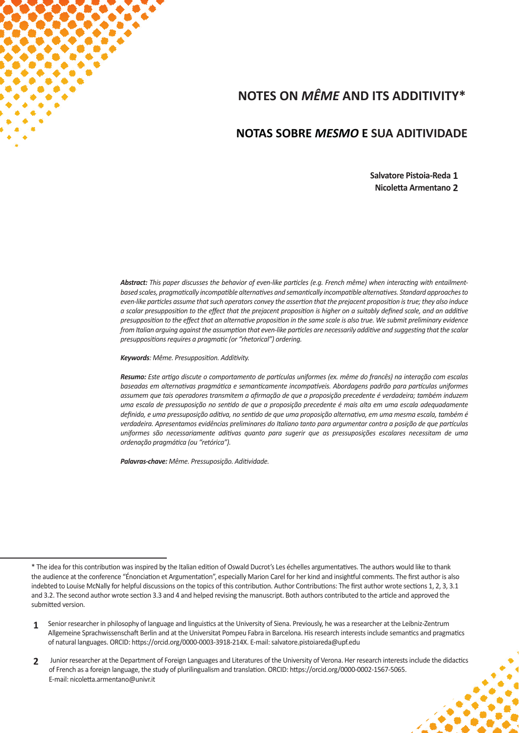# **NOTES ON** *MÊME* **AND ITS ADDITIVITY\***

#### **NOTAS SOBRE** *MESMO* **E SUA ADITIVIDADE**

**Salvatore Pistoia-Reda 1 Nicoletta Armentano 2** 

Abstract: This paper discusses the behavior of even-like particles (e.q. French même) when interacting with entailmentbased scales, pragmatically incompatible alternatives and semantically incompatible alternatives. Standard approaches to *even-like particles assume that such operators convey the assertion that the prejacent proposition is true; they also induce* a scalar presupposition to the effect that the prejacent proposition is higher on a suitably defined scale, and an additive *presupposition to the effect that an alternative proposition in the same scale is also true. We submit preliminary evidence from Italian arguing against the assumption that even-like particles are necessarily additive and suggesting that the scalar presuppositions requires a pragmatic (or "rhetorical") ordering.* 

**Keywords**: Même. Presupposition. Additivity.

*Resumo: Este arti go discute o comportamento de partí culas uniformes (ex. même do francês) na interação com escalas*  baseadas em alternativas pragmática e semanticamente incompatíveis. Abordagens padrão para partículas uniformes *assumem que tais operadores transmitem a afi rmação de que a proposição precedente é verdadeira; também induzem*  uma escala de pressuposição no sentido de que a proposição precedente é mais alta em uma escala adequadamente *defi nida, e uma pressuposição aditi va, no senti do de que uma proposição alternati va, em uma mesma escala, também é verdadeira. Apresentamos evidências preliminares do Italiano tanto para argumentar contra a posição de que partí culas*  uniformes são necessariamente aditivas quanto para sugerir que as pressuposições escalares necessitam de uma *ordenação pragmáti ca (ou "retórica").*

Palavras-chave: Même. Pressuposição. Aditividade.

<sup>\*</sup> The idea for this contribution was inspired by the Italian edition of Oswald Ducrot's Les échelles argumentatives. The authors would like to thank the audience at the conference "Énonciation et Argumentation", especially Marion Carel for her kind and insightful comments. The first author is also indebted to Louise McNally for helpful discussions on the topics of this contribution. Author Contributions: The first author wrote sections 1, 2, 3, 3.1 and 3.2. The second author wrote section 3.3 and 4 and helped revising the manuscript. Both authors contributed to the article and approved the submitted version.

Senior researcher in philosophy of language and linguistics at the University of Siena. Previously, he was a researcher at the Leibniz-Zentrum Allgemeine Sprachwissenschaft Berlin and at the Universitat Pompeu Fabra in Barcelona. His research interests include semantics and pragmatics of natural languages. ORCID: https://orcid.org/0000-0003-3918-214X. E-mail: salvatore.pistoiareda@upf.edu **1**

Junior researcher at the Department of Foreign Languages and Literatures of the University of Verona. Her research interests include the didactics of French as a foreign language, the study of plurilingualism and translation. ORCID: https://orcid.org/0000-0002-1567-5065. E-mail: nicoletta.armentano@univr.it **2**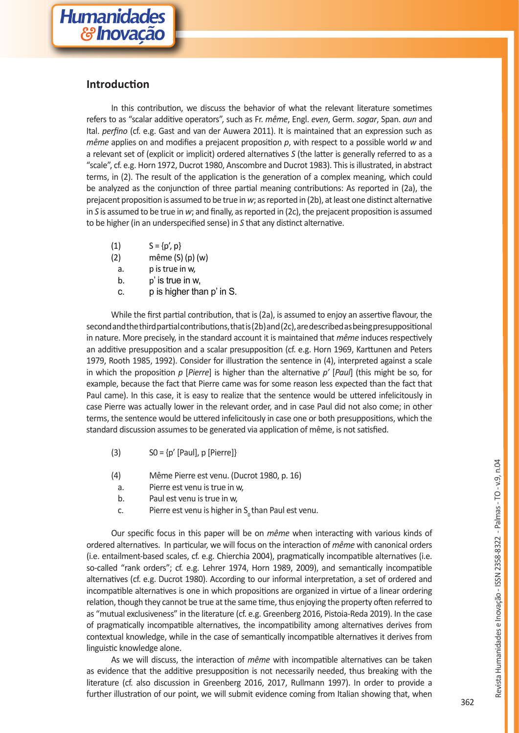## **Introduction**

In this contribution, we discuss the behavior of what the relevant literature sometimes refers to as "scalar additive operators", such as Fr. *même*, Engl. *even*, Germ. *sogar*, Span. *aun* and Ital. *perfino* (cf. e.g. Gast and van der Auwera 2011). It is maintained that an expression such as *même* applies on and modifies a prejacent proposition p, with respect to a possible world w and a relevant set of (explicit or implicit) ordered alternatives *S* (the latter is generally referred to as a "scale", cf. e.g. Horn 1972, Ducrot 1980, Anscombre and Ducrot 1983). This is illustrated, in abstract terms, in (2). The result of the application is the generation of a complex meaning, which could be analyzed as the conjunction of three partial meaning contributions: As reported in (2a), the prejacent proposition is assumed to be true in *w*; as reported in (2b), at least one distinct alternative in *S* is assumed to be true in *w*; and finally, as reported in (2c), the prejacent proposition is assumed to be higher (in an underspecified sense) in *S* that any distinct alternative.

- (1)  $S = {p', p}$
- (2) même (S) (p) (w)
- a. p is true in w,
- b. p' is true in w,
- c. p is higher than p' in S.

While the first partial contribution, that is (2a), is assumed to enjoy an assertive flavour, the second and the third partial contributions, that is  $(2b)$  and  $(2c)$ , are described as being presuppositional in nature. More precisely, in the standard account it is maintained that *même* induces respectively an additive presupposition and a scalar presupposition (cf. e.g. Horn 1969, Karttunen and Peters 1979, Rooth 1985, 1992). Consider for illustration the sentence in (4), interpreted against a scale in which the proposition p [Pierre] is higher than the alternative p' [Paul] (this might be so, for example, because the fact that Pierre came was for some reason less expected than the fact that Paul came). In this case, it is easy to realize that the sentence would be uttered infelicitously in case Pierre was actually lower in the relevant order, and in case Paul did not also come; in other terms, the sentence would be uttered infelicitously in case one or both presuppositions, which the standard discussion assumes to be generated via application of même, is not satisfied.

- (3)  $SO = {p' [Paul], p [Pierre]}$
- (4) Même Pierre est venu. (Ducrot 1980, p. 16)
	- a. Pierre est venu is true in w,
	- b. Paul est venu is true in w,
	- c. Pierre est venu is higher in  $S_0$  than Paul est venu.

Our specific focus in this paper will be on *même* when interacting with various kinds of ordered alternatives. In particular, we will focus on the interaction of *même* with canonical orders (i.e. entailment-based scales, cf. e.g. Chierchia 2004), pragmatically incompatible alternatives (i.e. so-called "rank orders"; cf. e.g. Lehrer 1974, Horn 1989, 2009), and semantically incompatible alternatives (cf. e.g. Ducrot 1980). According to our informal interpretation, a set of ordered and incompatible alternatives is one in which propositions are organized in virtue of a linear ordering relation, though they cannot be true at the same time, thus enjoying the property often referred to as "mutual exclusiveness" in the literature (cf. e.g. Greenberg 2016, Pistoia-Reda 2019). In the case of pragmatically incompatible alternatives, the incompatibility among alternatives derives from contextual knowledge, while in the case of semantically incompatible alternatives it derives from linguistic knowledge alone.

As we will discuss, the interaction of *même* with incompatible alternatives can be taken as evidence that the additive presupposition is not necessarily needed, thus breaking with the literature (cf. also discussion in Greenberg 2016, 2017, Rullmann 1997). In order to provide a further illustration of our point, we will submit evidence coming from Italian showing that, when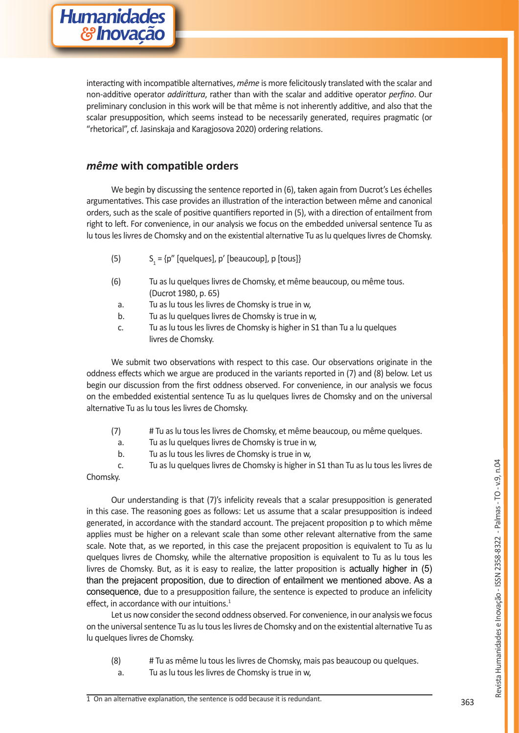interacting with incompatible alternatives, *même* is more felicitously translated with the scalar and non-additive operator *addirittura*, rather than with the scalar and additive operator *perfino*. Our preliminary conclusion in this work will be that même is not inherently additive, and also that the scalar presupposition, which seems instead to be necessarily generated, requires pragmatic (or "rhetorical", cf. Jasinskaja and Karagjosova 2020) ordering relations.

## *même* with compatible orders

We begin by discussing the sentence reported in (6), taken again from Ducrot's Les échelles argumentatives. This case provides an illustration of the interaction between même and canonical orders, such as the scale of positive quantifiers reported in (5), with a direction of entailment from right to left. For convenience, in our analysis we focus on the embedded universal sentence Tu as lu tous les livres de Chomsky and on the existential alternative Tu as lu quelques livres de Chomsky.

- $(5)$  $S<sub>1</sub> = {p'' [quelques], p' [beaucoup], p [tous]}$
- (6) Tu as lu quelques livres de Chomsky, et même beaucoup, ou même tous. (Ducrot 1980, p. 65)
	- a. Tu as lu tous les livres de Chomsky is true in w,
	- b. Tu as lu quelques livres de Chomsky is true in w,
	- c. Tu as lu tous les livres de Chomsky is higher in S1 than Tu a lu quelques livres de Chomsky.

We submit two observations with respect to this case. Our observations originate in the oddness effects which we argue are produced in the variants reported in (7) and (8) below. Let us begin our discussion from the first oddness observed. For convenience, in our analysis we focus on the embedded existential sentence Tu as lu quelques livres de Chomsky and on the universal alternative Tu as lu tous les livres de Chomsky.

- (7) # Tu as lu tous les livres de Chomsky, et même beaucoup, ou même quelques.
	- a. Tu as lu quelques livres de Chomsky is true in w,
	- b. Tu as lu tous les livres de Chomsky is true in w,
- c. Tu as lu quelques livres de Chomsky is higher in S1 than Tu as lu tous les livres de Chomsky.

Our understanding is that (7)'s infelicity reveals that a scalar presupposition is generated in this case. The reasoning goes as follows: Let us assume that a scalar presupposition is indeed generated, in accordance with the standard account. The prejacent proposition p to which même applies must be higher on a relevant scale than some other relevant alternative from the same scale. Note that, as we reported, in this case the prejacent proposition is equivalent to Tu as lu quelques livres de Chomsky, while the alternative proposition is equivalent to Tu as lu tous les livres de Chomsky. But, as it is easy to realize, the latter proposition is actually higher in  $(5)$ than the prejacent proposition, due to direction of entailment we mentioned above. As a consequence, due to a presupposition failure, the sentence is expected to produce an infelicity effect, in accordance with our intuitions.<sup>1</sup>

Let us now consider the second oddness observed. For convenience, in our analysis we focus on the universal sentence Tu as lu tous les livres de Chomsky and on the existential alternative Tu as lu quelques livres de Chomsky.

- (8) # Tu as même lu tous les livres de Chomsky, mais pas beaucoup ou quelques.
	- a. Tu as lu tous les livres de Chomsky is true in w,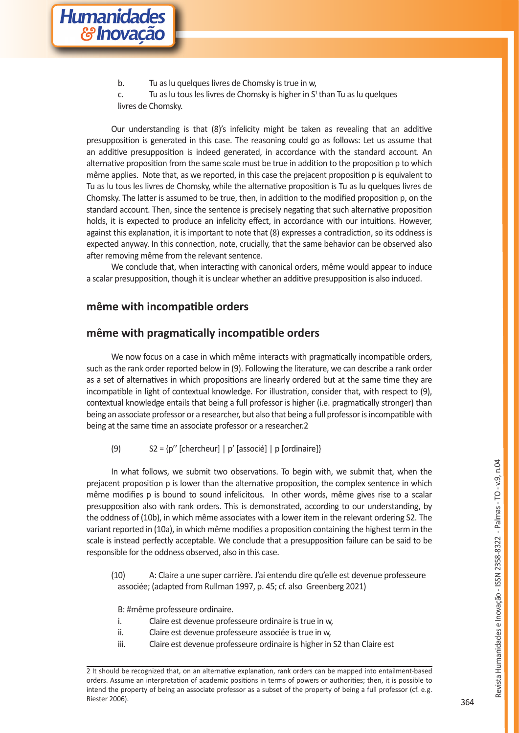b. Tu as lu quelques livres de Chomsky is true in w,

c. Tu as lu tous les livres de Chomsky is higher in  $S<sup>1</sup>$  than Tu as lu quelques livres de Chomsky.

Our understanding is that (8)'s infelicity might be taken as revealing that an additive presupposition is generated in this case. The reasoning could go as follows: Let us assume that an additive presupposition is indeed generated, in accordance with the standard account. An alternative proposition from the same scale must be true in addition to the proposition p to which même applies. Note that, as we reported, in this case the prejacent proposition p is equivalent to Tu as lu tous les livres de Chomsky, while the alternative proposition is Tu as lu quelques livres de Chomsky. The latter is assumed to be true, then, in addition to the modified proposition p, on the standard account. Then, since the sentence is precisely negating that such alternative proposition holds, it is expected to produce an infelicity effect, in accordance with our intuitions. However, against this explanation, it is important to note that (8) expresses a contradiction, so its oddness is expected anyway. In this connection, note, crucially, that the same behavior can be observed also after removing même from the relevant sentence.

We conclude that, when interacting with canonical orders, même would appear to induce a scalar presupposition, though it is unclear whether an additive presupposition is also induced.

## **même with incompatible orders**

#### même with pragmatically incompatible orders

We now focus on a case in which même interacts with pragmatically incompatible orders, such as the rank order reported below in (9). Following the literature, we can describe a rank order as a set of alternatives in which propositions are linearly ordered but at the same time they are incompatible in light of contextual knowledge. For illustration, consider that, with respect to (9), contextual knowledge entails that being a full professor is higher (i.e. pragmatically stronger) than being an associate professor or a researcher, but also that being a full professor is incompatible with being at the same time an associate professor or a researcher.2

(9)  $S2 = {p'' \text{ [chercheur]} | p' \text{ [associe]} | p \text{ [ordinate]}}$ 

In what follows, we submit two observations. To begin with, we submit that, when the prejacent proposition p is lower than the alternative proposition, the complex sentence in which même modifies p is bound to sound infelicitous. In other words, même gives rise to a scalar presupposition also with rank orders. This is demonstrated, according to our understanding, by the oddness of (10b), in which même associates with a lower item in the relevant ordering S2. The variant reported in (10a), in which même modifies a proposition containing the highest term in the scale is instead perfectly acceptable. We conclude that a presupposition failure can be said to be responsible for the oddness observed, also in this case.

(10) A: Claire a une super carrière. J'ai entendu dire qu'elle est devenue professeure associée; (adapted from Rullman 1997, p. 45; cf. also Greenberg 2021)

B: #même professeure ordinaire.

- i. Claire est devenue professeure ordinaire is true in w,
- ii. Claire est devenue professeure associée is true in w,
- iii. Claire est devenue professeure ordinaire is higher in S2 than Claire est

<sup>2</sup> It should be recognized that, on an alternative explanation, rank orders can be mapped into entailment-based orders. Assume an interpretation of academic positions in terms of powers or authorities; then, it is possible to intend the property of being an associate professor as a subset of the property of being a full professor (cf. e.g. Riester 2006).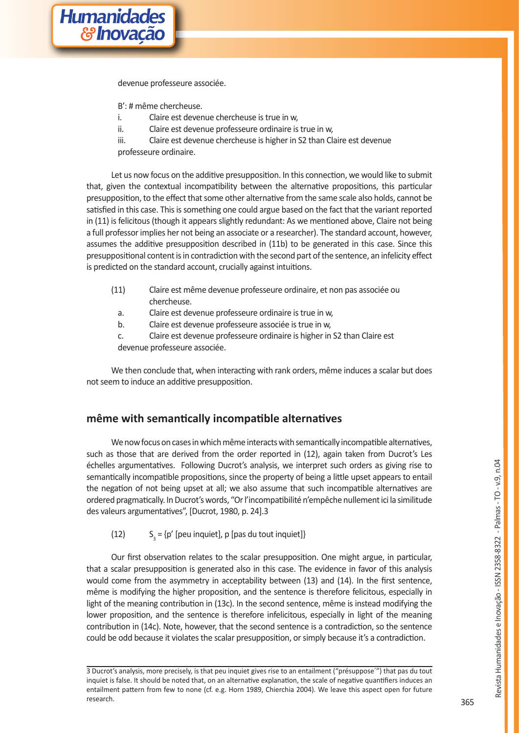devenue professeure associée.

B': # même chercheuse.

- i. Claire est devenue chercheuse is true in w,
- ii. Claire est devenue professeure ordinaire is true in w,

 iii. Claire est devenue chercheuse is higher in S2 than Claire est devenue professeure ordinaire.

Let us now focus on the additive presupposition. In this connection, we would like to submit that, given the contextual incompatibility between the alternative propositions, this particular presupposition, to the effect that some other alternative from the same scale also holds, cannot be satisfied in this case. This is something one could argue based on the fact that the variant reported in (11) is felicitous (though it appears slightly redundant: As we mentioned above, Claire not being a full professor implies her not being an associate or a researcher). The standard account, however, assumes the additive presupposition described in (11b) to be generated in this case. Since this presuppositional content is in contradiction with the second part of the sentence, an infelicity effect is predicted on the standard account, crucially against intuitions.

- (11) Claire est même devenue professeure ordinaire, et non pas associée ou chercheuse.
	- a. Claire est devenue professeure ordinaire is true in w,
	- b. Claire est devenue professeure associée is true in w,
	- c. Claire est devenue professeure ordinaire is higher in S2 than Claire est devenue professeure associée.

We then conclude that, when interacting with rank orders, même induces a scalar but does not seem to induce an additive presupposition.

## même with semantically incompatible alternatives

We now focus on cases in which même interacts with semantically incompatible alternatives, such as those that are derived from the order reported in (12), again taken from Ducrot's Les échelles argumentatives. Following Ducrot's analysis, we interpret such orders as giving rise to semantically incompatible propositions, since the property of being a little upset appears to entail the negation of not being upset at all; we also assume that such incompatible alternatives are ordered pragmatically. In Ducrot's words, "Or l'incompatibilité n'empêche nullement ici la similitude des valeurs argumentatives", [Ducrot, 1980, p. 24].3

 $(12)$  $S<sub>2</sub> = {p' [peu inquiet], p [pas du tout inquiet]}$ 

Our first observation relates to the scalar presupposition. One might argue, in particular, that a scalar presupposition is generated also in this case. The evidence in favor of this analysis would come from the asymmetry in acceptability between (13) and (14). In the first sentence, même is modifying the higher proposition, and the sentence is therefore felicitous, especially in light of the meaning contribution in (13c). In the second sentence, même is instead modifying the lower proposition, and the sentence is therefore infelicitous, especially in light of the meaning contribution in (14c). Note, however, that the second sentence is a contradiction, so the sentence could be odd because it violates the scalar presupposition, or simply because it's a contradiction.

<sup>3</sup> Ducrot's analysis, more precisely, is that peu inquiet gives rise to an entailment ("présuppose´") that pas du tout inquiet is false. It should be noted that, on an alternative explanation, the scale of negative quantifiers induces an entailment pattern from few to none (cf. e.g. Horn 1989, Chierchia 2004). We leave this aspect open for future research.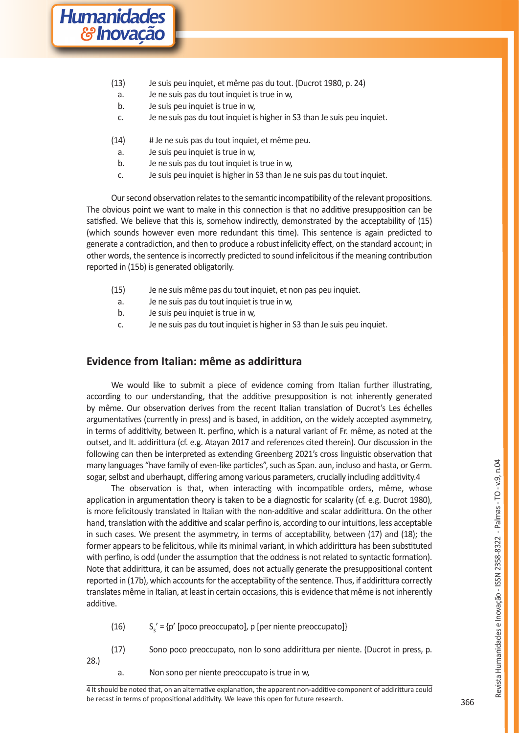- (13) Je suis peu inquiet, et même pas du tout. (Ducrot 1980, p. 24)
- a. Je ne suis pas du tout inquiet is true in w,
- b. Je suis peu inquiet is true in w,
- c. Je ne suis pas du tout inquiet is higher in S3 than Je suis peu inquiet.
- (14) # Je ne suis pas du tout inquiet, et même peu.
	- a. Je suis peu inquiet is true in w,
	- b. Je ne suis pas du tout inquiet is true in w,
	- c. Je suis peu inquiet is higher in S3 than Je ne suis pas du tout inquiet.

Our second observation relates to the semantic incompatibility of the relevant propositions. The obvious point we want to make in this connection is that no additive presupposition can be satisfied. We believe that this is, somehow indirectly, demonstrated by the acceptability of (15) (which sounds however even more redundant this time). This sentence is again predicted to generate a contradiction, and then to produce a robust infelicity effect, on the standard account; in other words, the sentence is incorrectly predicted to sound infelicitous if the meaning contribution reported in (15b) is generated obligatorily.

- (15) Je ne suis même pas du tout inquiet, et non pas peu inquiet.
	- a. Je ne suis pas du tout inquiet is true in w,
	- b. Je suis peu inquiet is true in w,
	- c. Je ne suis pas du tout inquiet is higher in S3 than Je suis peu inquiet.

## **Evidence from Italian: même as addirittura**

We would like to submit a piece of evidence coming from Italian further illustrating, according to our understanding, that the additive presupposition is not inherently generated by même. Our observation derives from the recent Italian translation of Ducrot's Les échelles argumentatives (currently in press) and is based, in addition, on the widely accepted asymmetry, in terms of additivity, between It. perfino, which is a natural variant of Fr. même, as noted at the outset, and It. addirittura (cf. e.g. Atayan 2017 and references cited therein). Our discussion in the following can then be interpreted as extending Greenberg 2021's cross linguistic observation that many languages "have family of even-like particles", such as Span. aun, incluso and hasta, or Germ. sogar, selbst and uberhaupt, differing among various parameters, crucially including additivity.4

The observation is that, when interacting with incompatible orders, même, whose application in argumentation theory is taken to be a diagnostic for scalarity (cf. e.g. Ducrot 1980), is more felicitously translated in Italian with the non-additive and scalar addirittura. On the other hand, translation with the additive and scalar perfino is, according to our intuitions, less acceptable in such cases. We present the asymmetry, in terms of acceptability, between (17) and (18); the former appears to be felicitous, while its minimal variant, in which addirittura has been substituted with perfino, is odd (under the assumption that the oddness is not related to syntactic formation). Note that addirittura, it can be assumed, does not actually generate the presuppositional content reported in (17b), which accounts for the acceptability of the sentence. Thus, if addirittura correctly translates même in Italian, at least in certain occasions, this is evidence that même is not inherently additive.

- $(16)$  $S' = \{p' \mid poco \text{ preoccupied}\}, p \mid pere \text{ niente preoccupied}\}$
- (17) Sono poco preoccupato, non lo sono addirittura per niente. (Ducrot in press, p.

28.)

a. Non sono per niente preoccupato is true in w,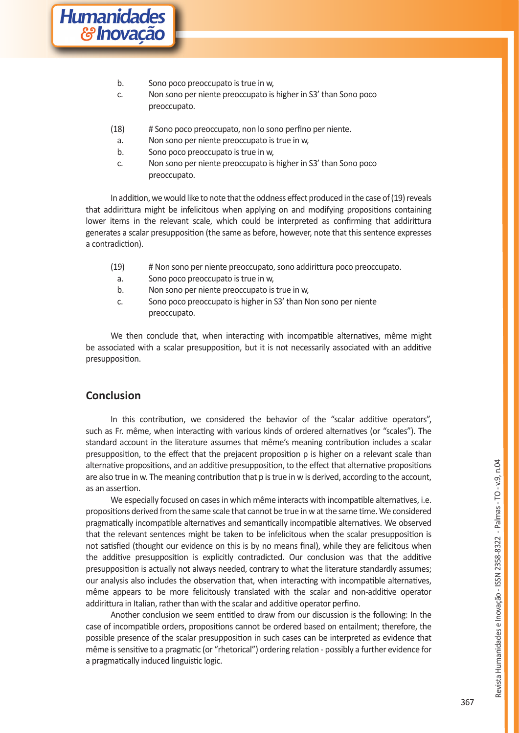- b. Sono poco preoccupato is true in w,
- c. Non sono per niente preoccupato is higher in S3' than Sono poco preoccupato.
- (18) # Sono poco preoccupato, non lo sono perfino per niente.
- a. Non sono per niente preoccupato is true in w,
- b. Sono poco preoccupato is true in w,
- c. Non sono per niente preoccupato is higher in S3' than Sono poco preoccupato.

In addition, we would like to note that the oddness effect produced in the case of (19) reveals that addirittura might be infelicitous when applying on and modifying propositions containing lower items in the relevant scale, which could be interpreted as confirming that addirittura generates a scalar presupposition (the same as before, however, note that this sentence expresses a contradiction).

- (19) # Non sono per niente preoccupato, sono addirittura poco preoccupato.
- a. Sono poco preoccupato is true in w,
- b. Non sono per niente preoccupato is true in w,
- c. Sono poco preoccupato is higher in S3' than Non sono per niente preoccupato.

We then conclude that, when interacting with incompatible alternatives, même might be associated with a scalar presupposition, but it is not necessarily associated with an additive presupposition.

# **Conclusion**

In this contribution, we considered the behavior of the "scalar additive operators", such as Fr. même, when interacting with various kinds of ordered alternatives (or "scales"). The standard account in the literature assumes that même's meaning contribution includes a scalar presupposition, to the effect that the prejacent proposition p is higher on a relevant scale than alternative propositions, and an additive presupposition, to the effect that alternative propositions are also true in w. The meaning contribution that p is true in w is derived, according to the account, as an assertion.

We especially focused on cases in which même interacts with incompatible alternatives, i.e. propositions derived from the same scale that cannot be true in w at the same time. We considered pragmatically incompatible alternatives and semantically incompatible alternatives. We observed that the relevant sentences might be taken to be infelicitous when the scalar presupposition is not satisfied (thought our evidence on this is by no means final), while they are felicitous when the additive presupposition is explicitly contradicted. Our conclusion was that the additive presupposition is actually not always needed, contrary to what the literature standardly assumes; our analysis also includes the observation that, when interacting with incompatible alternatives, même appears to be more felicitously translated with the scalar and non-additive operator addirittura in Italian, rather than with the scalar and additive operator perfino.

Another conclusion we seem entitled to draw from our discussion is the following: In the case of incompatible orders, propositions cannot be ordered based on entailment; therefore, the possible presence of the scalar presupposition in such cases can be interpreted as evidence that même is sensitive to a pragmatic (or "rhetorical") ordering relation - possibly a further evidence for a pragmatically induced linguistic logic.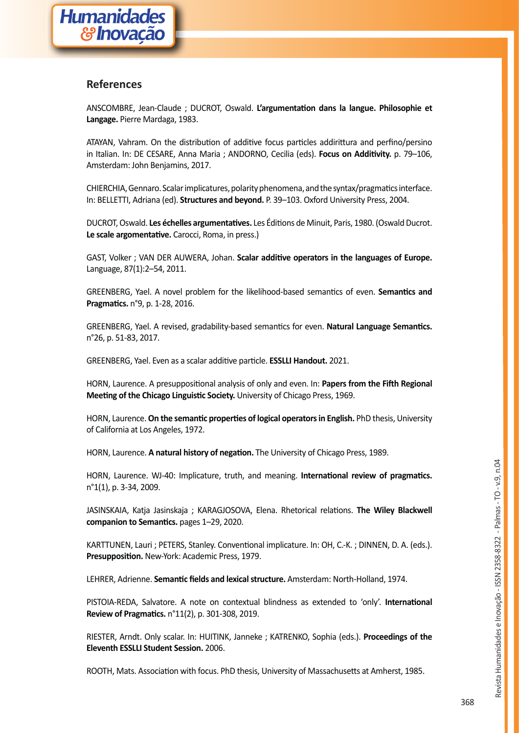## **References**

ANSCOMBRE, Jean-Claude ; DUCROT, Oswald. L'argumentation dans la langue. Philosophie et **Langage.** Pierre Mardaga, 1983.

ATAYAN, Vahram. On the distribution of additive focus particles addirittura and perfino/persino in Italian. In: DE CESARE, Anna Maria ; ANDORNO, Cecilia (eds). Focus on Additivity. p. 79-106, Amsterdam: John Benjamins, 2017.

CHIERCHIA, Gennaro, Scalar implicatures, polarity phenomena, and the syntax/pragmatics interface. In: BELLETTI, Adriana (ed). **Structures and beyond.** P. 39–103. Oxford University Press, 2004.

DUCROT, Oswald. Les échelles argumentatives. Les Éditions de Minuit, Paris, 1980. (Oswald Ducrot. Le scale argomentative. Carocci, Roma, in press.)

GAST, Volker ; VAN DER AUWERA, Johan. Scalar additive operators in the languages of Europe. Language, 87(1):2–54, 2011.

GREENBERG, Yael. A novel problem for the likelihood-based semantics of even. **Semantics and Pragmatics.** n°9, p. 1-28, 2016.

GREENBERG, Yael. A revised, gradability-based semantics for even. Natural Language Semantics. n°26, p. 51-83, 2017.

GREENBERG, Yael. Even as a scalar additive particle. **ESSLLI Handout.** 2021.

HORN, Laurence. A presuppositional analysis of only and even. In: Papers from the Fifth Regional **Meeting of the Chicago Linguistic Society.** University of Chicago Press, 1969.

HORN, Laurence. On the semantic properties of logical operators in English. PhD thesis, University of California at Los Angeles, 1972.

HORN, Laurence. A natural history of negation. The University of Chicago Press, 1989.

HORN, Laurence. WJ-40: Implicature, truth, and meaning. **International review of pragmatics.** n°1(1), p. 3-34, 2009.

JASINSKAIA, Katia Jasinskaia : KARAGJOSOVA, Elena, Rhetorical relations. **The Wiley Blackwell** companion to Semantics. pages 1-29, 2020.

KARTTUNEN, Lauri ; PETERS, Stanley. Conventional implicature. In: OH, C.-K. ; DINNEN, D. A. (eds.). Presupposition. New-York: Academic Press, 1979.

LEHRER, Adrienne. Semantic fields and lexical structure. Amsterdam: North-Holland, 1974.

PISTOIA-REDA, Salvatore. A note on contextual blindness as extended to 'only'. International **Review of Pragmatics.** n°11(2), p. 301-308, 2019.

RIESTER, Arndt. Only scalar. In: HUITINK, Janneke ; KATRENKO, Sophia (eds.). **Proceedings of the Eleventh ESSLLI Student Session.** 2006.

ROOTH, Mats. Association with focus. PhD thesis, University of Massachusetts at Amherst, 1985.